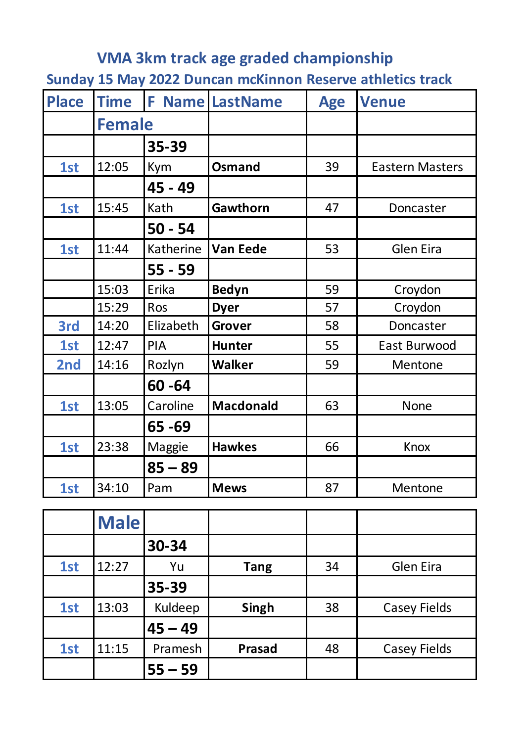## **VMA 3km track age graded championship**

**Sunday 15 May 2022 Duncan mcKinnon Reserve athletics track**

| <b>Place</b> | <b>Time</b>   | F.         | <b>Name LastName</b> | <b>Age</b> | <b>Venue</b>           |
|--------------|---------------|------------|----------------------|------------|------------------------|
|              | <b>Female</b> |            |                      |            |                        |
|              |               | 35-39      |                      |            |                        |
| 1st          | 12:05         | Kym        | <b>Osmand</b>        | 39         | <b>Eastern Masters</b> |
|              |               | 45 - 49    |                      |            |                        |
| 1st          | 15:45         | Kath       | Gawthorn             | 47         | Doncaster              |
|              |               | $50 - 54$  |                      |            |                        |
| 1st          | 11:44         | Katherine  | <b>Van Eede</b>      | 53         | <b>Glen Eira</b>       |
|              |               | $55 - 59$  |                      |            |                        |
|              | 15:03         | Erika      | <b>Bedyn</b>         | 59         | Croydon                |
|              | 15:29         | Ros        | <b>Dyer</b>          | 57         | Croydon                |
| 3rd          | 14:20         | Elizabeth  | <b>Grover</b>        | 58         | Doncaster              |
| 1st          | 12:47         | <b>PIA</b> | <b>Hunter</b>        | 55         | East Burwood           |
| 2nd          | 14:16         | Rozlyn     | <b>Walker</b>        | 59         | Mentone                |
|              |               | $60 - 64$  |                      |            |                        |
| 1st          | 13:05         | Caroline   | <b>Macdonald</b>     | 63         | <b>None</b>            |
|              |               | 65 - 69    |                      |            |                        |
| 1st          | 23:38         | Maggie     | <b>Hawkes</b>        | 66         | <b>Knox</b>            |
|              |               | $85 - 89$  |                      |            |                        |
| 1st          | 34:10         | Pam        | <b>Mews</b>          | 87         | Mentone                |

|     | <b>Male</b> |           |               |    |                     |
|-----|-------------|-----------|---------------|----|---------------------|
|     |             | 30-34     |               |    |                     |
| 1st | 12:27       | Yu        | <b>Tang</b>   | 34 | <b>Glen Eira</b>    |
|     |             | 35-39     |               |    |                     |
| 1st | 13:03       | Kuldeep   | <b>Singh</b>  | 38 | <b>Casey Fields</b> |
|     |             | $45 - 49$ |               |    |                     |
| 1st | 11:15       | Pramesh   | <b>Prasad</b> | 48 | <b>Casey Fields</b> |
|     |             | $55 - 59$ |               |    |                     |